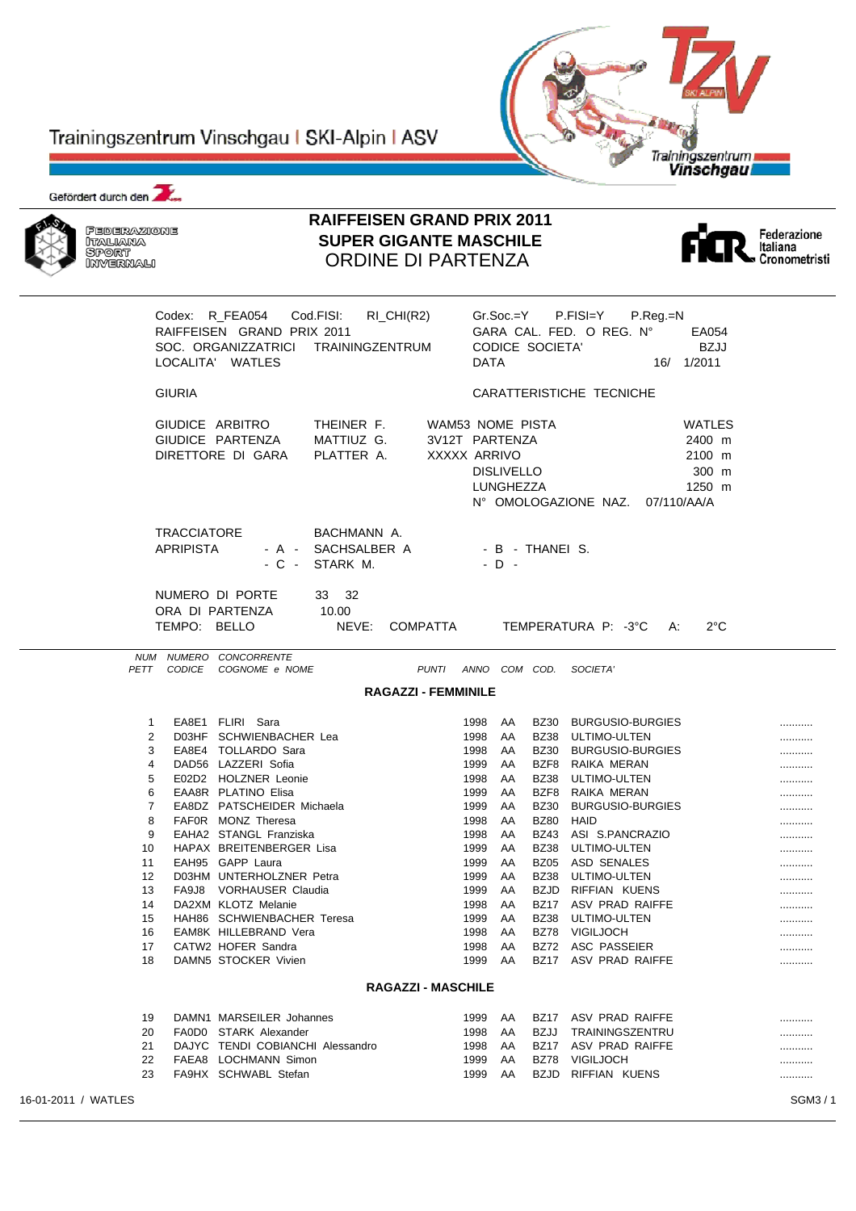# Trainingszentrum Vinschgau I SKI-Alpin I ASV



Gefördert durch den



# **RAIFFEISEN GRAND PRIX 2011 SUPER GIGANTE MASCHILE** ORDINE DI PARTENZA



|                     |                                        | Codex: R_FEA054<br>RAIFFEISEN GRAND PRIX 2011<br>SOC. ORGANIZZATRICI<br>LOCALITA' WATLES | Cod.FISI:<br>$RI_CHI(R2)$<br><b>TRAININGZENTRUM</b> |                                                    | <b>DATA</b>  | Gr.Soc.=Y                      | <b>CODICE SOCIETA'</b> | P.FISI=Y<br>P.Reg.=N<br>GARA CAL. FED. O REG. N°<br>EA054<br>BZJJ<br>16/ 1/2011      |        |
|---------------------|----------------------------------------|------------------------------------------------------------------------------------------|-----------------------------------------------------|----------------------------------------------------|--------------|--------------------------------|------------------------|--------------------------------------------------------------------------------------|--------|
|                     | <b>GIURIA</b>                          |                                                                                          |                                                     |                                                    |              |                                |                        | CARATTERISTICHE TECNICHE                                                             |        |
|                     |                                        | GIUDICE ARBITRO<br>GIUDICE PARTENZA<br>DIRETTORE DI GARA                                 | THEINER F.<br>MATTIUZ G.<br>PLATTER A.              | WAM53 NOME PISTA<br>3V12T PARTENZA<br>XXXXX ARRIVO |              | <b>DISLIVELLO</b><br>LUNGHEZZA |                        | WATLES<br>2400 m<br>2100 m<br>300 m<br>1250 m<br>N° OMOLOGAZIONE NAZ.<br>07/110/AA/A |        |
|                     | <b>TRACCIATORE</b><br><b>APRIPISTA</b> | - C -                                                                                    | BACHMANN A.<br>- A - SACHSALBER A<br>STARK M.       |                                                    |              | $-D -$                         | - B - THANEI S.        |                                                                                      |        |
|                     | TEMPO: BELLO                           | NUMERO DI PORTE<br>ORA DI PARTENZA                                                       | 33 32<br>10.00<br>NEVE:                             | COMPATTA                                           |              |                                |                        | TEMPERATURA P: -3°C<br>$2^{\circ}$ C<br>А:                                           |        |
|                     |                                        | NUM NUMERO CONCORRENTE<br>PETT CODICE COGNOME e NOME                                     |                                                     | PUNTI ANNO COM COD.                                |              |                                |                        | SOCIETA'                                                                             |        |
|                     |                                        |                                                                                          |                                                     | <b>RAGAZZI - FEMMINILE</b>                         |              |                                |                        |                                                                                      |        |
|                     | $\mathbf 1$                            | EA8E1 FLIRI Sara                                                                         |                                                     |                                                    | 1998         | AA                             |                        | BZ30 BURGUSIO-BURGIES                                                                |        |
|                     | 2                                      | D03HF SCHWIENBACHER Lea                                                                  |                                                     |                                                    | 1998         | AA                             | BZ38                   | ULTIMO-ULTEN                                                                         | <br>   |
|                     | 3                                      | EA8E4 TOLLARDO Sara                                                                      |                                                     |                                                    | 1998         | AA                             | BZ30                   | <b>BURGUSIO-BURGIES</b>                                                              |        |
|                     | 4                                      | DAD56 LAZZERI Sofia                                                                      |                                                     |                                                    | 1999         | AA                             | BZF8                   | RAIKA MERAN                                                                          |        |
|                     | 5                                      | E02D2 HOLZNER Leonie                                                                     |                                                     |                                                    | 1998         | AA                             | BZ38                   | ULTIMO-ULTEN                                                                         |        |
|                     | 6                                      | EAA8R PLATINO Elisa                                                                      |                                                     |                                                    | 1999         | AA                             | BZF8                   | RAIKA MERAN                                                                          |        |
|                     | 7                                      | EA8DZ PATSCHEIDER Michaela                                                               |                                                     |                                                    | 1999         | AA                             | <b>BZ30</b>            | <b>BURGUSIO-BURGIES</b>                                                              |        |
|                     | 8                                      | FAF0R MONZ Theresa                                                                       |                                                     |                                                    | 1998         | AA                             | <b>BZ80</b>            | HAID                                                                                 |        |
|                     | 9                                      | EAHA2 STANGL Franziska<br>HAPAX BREITENBERGER Lisa                                       |                                                     |                                                    | 1998         | AA                             | BZ43                   | ASI S.PANCRAZIO                                                                      |        |
| 10<br>11            |                                        | EAH95 GAPP Laura                                                                         |                                                     |                                                    | 1999<br>1999 | AA<br>AA                       | BZ38                   | ULTIMO-ULTEN<br>BZ05 ASD SENALES                                                     |        |
| 12                  |                                        | D03HM UNTERHOLZNER Petra                                                                 |                                                     |                                                    | 1999         | AA                             | BZ38                   | ULTIMO-ULTEN                                                                         |        |
| 13                  |                                        | FA9J8 VORHAUSER Claudia                                                                  |                                                     |                                                    | 1999         | AA                             |                        | BZJD RIFFIAN KUENS                                                                   | <br>.  |
| 14                  |                                        | DA2XM KLOTZ Melanie                                                                      |                                                     |                                                    | 1998         | AA                             |                        | BZ17 ASV PRAD RAIFFE                                                                 |        |
| 15                  |                                        | HAH86 SCHWIENBACHER Teresa                                                               |                                                     |                                                    | 1999         | AA                             | BZ38                   | ULTIMO-ULTEN                                                                         |        |
| 16                  |                                        | EAM8K HILLEBRAND Vera                                                                    |                                                     |                                                    | 1998         | AA                             |                        | BZ78 VIGILJOCH                                                                       |        |
| 17                  |                                        | CATW2 HOFER Sandra                                                                       |                                                     |                                                    | 1998         | AA                             |                        | BZ72 ASC PASSEIER                                                                    |        |
| 18                  |                                        | DAMN5 STOCKER Vivien                                                                     |                                                     |                                                    | 1999         | AA                             |                        | BZ17 ASV PRAD RAIFFE                                                                 |        |
|                     |                                        |                                                                                          |                                                     | <b>RAGAZZI - MASCHILE</b>                          |              |                                |                        |                                                                                      |        |
| 19                  |                                        | DAMN1 MARSEILER Johannes                                                                 |                                                     |                                                    | 1999 AA      |                                |                        | BZ17 ASV PRAD RAIFFE                                                                 |        |
| 20                  |                                        | FA0D0 STARK Alexander                                                                    |                                                     |                                                    | 1998         | AA                             |                        | BZJJ TRAININGSZENTRU                                                                 |        |
| 21                  |                                        | DAJYC TENDI COBIANCHI Alessandro                                                         |                                                     |                                                    | 1998         | AA                             |                        | BZ17 ASV PRAD RAIFFE                                                                 | .      |
| 22                  |                                        | FAEA8 LOCHMANN Simon                                                                     |                                                     |                                                    | 1999         | AA                             |                        | BZ78 VIGILJOCH                                                                       |        |
| 23                  |                                        | FA9HX SCHWABL Stefan                                                                     |                                                     |                                                    | 1999         | AA                             |                        | BZJD RIFFIAN KUENS                                                                   |        |
| 16-01-2011 / WATLES |                                        |                                                                                          |                                                     |                                                    |              |                                |                        |                                                                                      | SGM3/1 |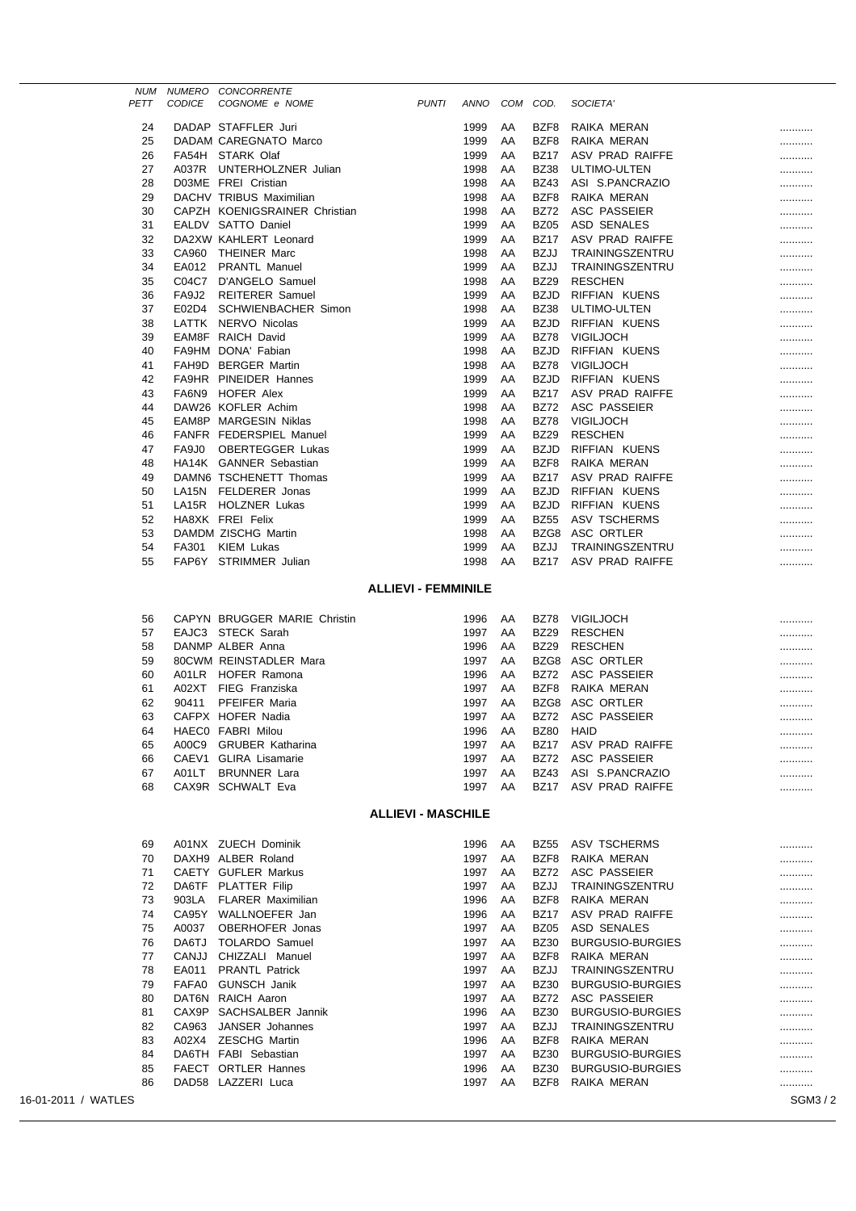| PETT | <b>CODICE</b>      | NUM NUMERO CONCORRENTE<br>COGNOME e NOME | <b>PUNTI</b> | ANNO | COM | COD.        | SOCIETA'               |   |
|------|--------------------|------------------------------------------|--------------|------|-----|-------------|------------------------|---|
|      |                    |                                          |              |      |     |             |                        |   |
| 24   |                    | DADAP STAFFLER Juri                      |              | 1999 | AA  | BZF8        | RAIKA MERAN            |   |
| 25   |                    | DADAM CAREGNATO Marco                    |              | 1999 | AA  | BZF8        | RAIKA MERAN            |   |
| 26   |                    | FA54H STARK Olaf                         |              | 1999 | AA  | <b>BZ17</b> | ASV PRAD RAIFFE        |   |
| 27   |                    | A037R UNTERHOLZNER Julian                |              | 1998 | AA  | <b>BZ38</b> | <b>ULTIMO-ULTEN</b>    |   |
| 28   |                    | D03ME FREI Cristian                      |              | 1998 | AA  | <b>BZ43</b> | ASI S.PANCRAZIO        |   |
| 29   |                    | DACHV TRIBUS Maximilian                  |              | 1998 | AA  | BZF8        | RAIKA MERAN            |   |
| 30   |                    | CAPZH KOENIGSRAINER Christian            |              | 1998 | AA  | <b>BZ72</b> | ASC PASSEIER           |   |
| 31   |                    | EALDV SATTO Daniel                       |              | 1999 | AA  | <b>BZ05</b> | <b>ASD SENALES</b>     |   |
| 32   |                    | DA2XW KAHLERT Leonard                    |              | 1999 | AA  | <b>BZ17</b> | ASV PRAD RAIFFE        |   |
| 33   | CA960              | <b>THEINER Marc</b>                      |              | 1998 | AA  | <b>BZJJ</b> | TRAININGSZENTRU        |   |
| 34   | EA012              | <b>PRANTL Manuel</b>                     |              | 1999 | AA  | <b>BZJJ</b> | TRAININGSZENTRU        |   |
| 35   | C04C7              | D'ANGELO Samuel                          |              | 1998 | AA  | <b>BZ29</b> | <b>RESCHEN</b>         |   |
| 36   | FA9J2              | <b>REITERER Samuel</b>                   |              | 1999 | AA  | <b>BZJD</b> | RIFFIAN KUENS          |   |
| 37   | E02D4              | <b>SCHWIENBACHER Simon</b>               |              | 1998 | AA  | <b>BZ38</b> | <b>ULTIMO-ULTEN</b>    |   |
| 38   | LATTK              | NERVO Nicolas                            |              | 1999 | AA  | <b>BZJD</b> | <b>RIFFIAN KUENS</b>   |   |
| 39   | EAM8F              | <b>RAICH David</b>                       |              | 1999 | AA  | <b>BZ78</b> | <b>VIGILJOCH</b>       |   |
| 40   | FA9HM              | DONA' Fabian                             |              | 1998 | AA  | <b>BZJD</b> | RIFFIAN KUENS          |   |
| 41   |                    | FAH9D BERGER Martin                      |              | 1998 | AA  | <b>BZ78</b> | <b>VIGILJOCH</b>       |   |
| 42   |                    | <b>FA9HR PINEIDER Hannes</b>             |              | 1999 | AA  | <b>BZJD</b> | <b>RIFFIAN KUENS</b>   |   |
| 43   | FA6N9              | <b>HOFER Alex</b>                        |              | 1999 | AA  | <b>BZ17</b> | ASV PRAD RAIFFE        |   |
| 44   |                    | DAW26 KOFLER Achim                       |              | 1998 | AA  | <b>BZ72</b> | <b>ASC PASSEIER</b>    |   |
| 45   | EAM8P              | MARGESIN Niklas                          |              | 1998 | AA  | <b>BZ78</b> | VIGILJOCH              |   |
| 46   |                    | FANFR FEDERSPIEL Manuel                  |              | 1999 | AA  | <b>BZ29</b> | <b>RESCHEN</b>         |   |
| 47   | FA9J0              | <b>OBERTEGGER Lukas</b>                  |              | 1999 | AA  | <b>BZJD</b> | RIFFIAN KUENS          |   |
| 48   |                    | HA14K GANNER Sebastian                   |              | 1999 | AA  | BZF8        | RAIKA MERAN            |   |
| 49   |                    | DAMN6 TSCHENETT Thomas                   |              | 1999 | AA  | <b>BZ17</b> | ASV PRAD RAIFFE        | . |
| 50   |                    | LA15N FELDERER Jonas                     |              | 1999 | AA  | <b>BZJD</b> | <b>RIFFIAN KUENS</b>   |   |
| 51   | LA <sub>15</sub> R | <b>HOLZNER Lukas</b>                     |              | 1999 | AA  | <b>BZJD</b> | <b>RIFFIAN KUENS</b>   |   |
| 52   |                    | HA8XK FREI Felix                         |              | 1999 | AA  | <b>BZ55</b> | <b>ASV TSCHERMS</b>    |   |
| 53   |                    | DAMDM ZISCHG Martin                      |              | 1998 | AA  | BZG8        | ASC ORTLER             |   |
| 54   | FA301              | <b>KIEM Lukas</b>                        |              | 1999 | AA  | <b>BZJJ</b> | TRAININGSZENTRU        |   |
| 55   |                    | FAP6Y STRIMMER Julian                    |              | 1998 | AA  | <b>BZ17</b> | <b>ASV PRAD RAIFFE</b> |   |
|      |                    |                                          |              |      |     |             |                        |   |

#### **ALLIEVI - FEMMINILE**

| 56 |       | CAPYN BRUGGER MARIE Christin | 1996 | AA | <b>BZ78</b> | <b>VIGILJOCH</b>     |  |
|----|-------|------------------------------|------|----|-------------|----------------------|--|
| 57 |       | EAJC3 STECK Sarah            | 1997 | AA | BZ29        | <b>RESCHEN</b>       |  |
| 58 |       | DANMP ALBER Anna             | 1996 | AA | BZ29        | <b>RESCHEN</b>       |  |
| 59 |       | 80CWM REINSTADLER Mara       | 1997 | AA |             | BZG8 ASC ORTLER      |  |
| 60 |       | A01LR HOFER Ramona           | 1996 | AA |             | BZ72 ASC PASSEIER    |  |
| 61 |       | A02XT FIEG Franziska         | 1997 | AA | BZF8        | RAIKA MERAN          |  |
| 62 | 90411 | <b>PFEIFER Maria</b>         | 1997 | AA |             | BZG8 ASC ORTLER      |  |
| 63 |       | CAFPX HOFER Nadia            | 1997 | AA |             | BZ72 ASC PASSEIER    |  |
| 64 |       | HAECO FABRI Milou            | 1996 | AA | BZ80        | HAID                 |  |
| 65 |       | A00C9 GRUBER Katharina       | 1997 | AA | BZ17        | ASV PRAD RAIFFE      |  |
| 66 |       | CAEV1 GLIRA Lisamarie        | 1997 | AA |             | BZ72 ASC PASSEIER    |  |
| 67 |       | A01LT BRUNNER Lara           | 1997 | AA | BZ43        | ASI S.PANCRAZIO      |  |
| 68 |       | CAX9R SCHWALT Eva            | 1997 | AA |             | BZ17 ASV PRAD RAIFFE |  |

### **ALLIEVI - MASCHILE**

|                     | 69 |              | A01NX ZUECH Dominik      | 1996 | AA | <b>BZ55</b> | <b>ASV TSCHERMS</b>     |        |
|---------------------|----|--------------|--------------------------|------|----|-------------|-------------------------|--------|
|                     | 70 |              | DAXH9 ALBER Roland       | 1997 | AA | BZF8        | RAIKA MERAN             |        |
|                     | 71 | <b>CAETY</b> | <b>GUFLER Markus</b>     | 1997 | AA | <b>BZ72</b> | ASC PASSEIER            |        |
|                     | 72 | DA6TF        | <b>PLATTER Filip</b>     | 1997 | AA | <b>BZJJ</b> | TRAININGSZENTRU         |        |
|                     | 73 | 903LA        | <b>FLARER Maximilian</b> | 1996 | AA | BZF8        | RAIKA MERAN             |        |
|                     | 74 | CA95Y        | WALLNOEFER Jan           | 1996 | AA | <b>BZ17</b> | ASV PRAD RAIFFE         |        |
|                     | 75 | A0037        | OBERHOFER Jonas          | 1997 | AA | <b>BZ05</b> | ASD SENALES             |        |
|                     | 76 | DA6TJ        | TOLARDO Samuel           | 1997 | AA | <b>BZ30</b> | <b>BURGUSIO-BURGIES</b> |        |
|                     | 77 | CANJJ        | CHIZZALI Manuel          | 1997 | AA | BZF8        | RAIKA MERAN             |        |
|                     | 78 | EA011        | <b>PRANTL Patrick</b>    | 1997 | AA | <b>BZJJ</b> | TRAININGSZENTRU         |        |
|                     | 79 | FAFA0        | <b>GUNSCH Janik</b>      | 1997 | AA | <b>BZ30</b> | BURGUSIO-BURGIES        |        |
|                     | 80 | DAT6N        | RAICH Aaron              | 1997 | AA | <b>BZ72</b> | ASC PASSEIER            |        |
|                     | 81 | CAX9P        | SACHSALBER Jannik        | 1996 | AA | <b>BZ30</b> | <b>BURGUSIO-BURGIES</b> |        |
|                     | 82 | CA963        | <b>JANSER</b> Johannes   | 1997 | AA | <b>BZJJ</b> | TRAININGSZENTRU         |        |
|                     | 83 | A02X4        | <b>ZESCHG Martin</b>     | 1996 | AA | BZF8        | RAIKA MERAN             |        |
|                     | 84 | DA6TH        | <b>FABI</b> Sebastian    | 1997 | AA | <b>BZ30</b> | <b>BURGUSIO-BURGIES</b> |        |
|                     | 85 | <b>FAECT</b> | <b>ORTLER Hannes</b>     | 1996 | AA | <b>BZ30</b> | <b>BURGUSIO-BURGIES</b> |        |
|                     | 86 | DAD58        | LAZZERI Luca             | 1997 | AA | BZF8        | RAIKA MERAN             |        |
| 16-01-2011 / WATLES |    |              |                          |      |    |             |                         | SGM3/2 |